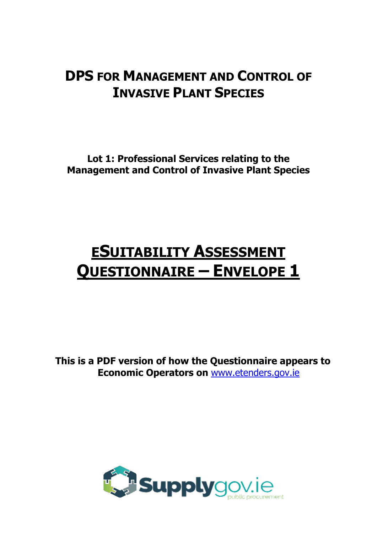## **DPS FOR MANAGEMENT AND CONTROL OF INVASIVE PLANT SPECIES**

**Lot 1: Professional Services relating to the Management and Control of Invasive Plant Species** 

# **ESUITABILITY ASSESSMENT QUESTIONNAIRE – ENVELOPE 1**

**This is a PDF version of how the Questionnaire appears to Economic Operators on** [www.etenders.gov.ie](mailto:eproc@kerrycoco.ie)

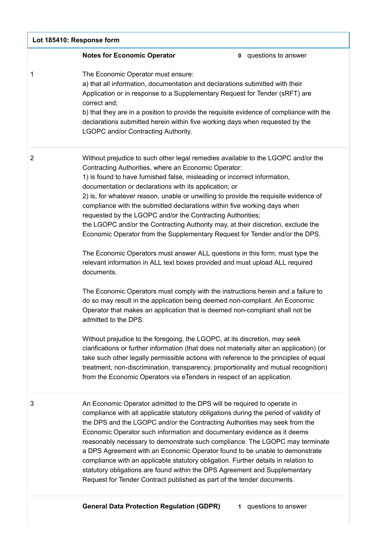| Lot 185410: Response form |                                                                                                                                                                                                                                                                                                                                                                                                                                                                                                                                                                                                                                                                                                                                                                                                                                                                                                                                                                                                                                                                                                                                                                                                                                                                                                                                                                                                                                                                                                                                                                                     |  |
|---------------------------|-------------------------------------------------------------------------------------------------------------------------------------------------------------------------------------------------------------------------------------------------------------------------------------------------------------------------------------------------------------------------------------------------------------------------------------------------------------------------------------------------------------------------------------------------------------------------------------------------------------------------------------------------------------------------------------------------------------------------------------------------------------------------------------------------------------------------------------------------------------------------------------------------------------------------------------------------------------------------------------------------------------------------------------------------------------------------------------------------------------------------------------------------------------------------------------------------------------------------------------------------------------------------------------------------------------------------------------------------------------------------------------------------------------------------------------------------------------------------------------------------------------------------------------------------------------------------------------|--|
|                           | <b>Notes for Economic Operator</b><br><b>0</b> questions to answer                                                                                                                                                                                                                                                                                                                                                                                                                                                                                                                                                                                                                                                                                                                                                                                                                                                                                                                                                                                                                                                                                                                                                                                                                                                                                                                                                                                                                                                                                                                  |  |
| 1                         | The Economic Operator must ensure:<br>a) that all information, documentation and declarations submitted with their<br>Application or in response to a Supplementary Request for Tender (sRFT) are<br>correct and;<br>b) that they are in a position to provide the requisite evidence of compliance with the<br>declarations submitted herein within five working days when requested by the<br><b>LGOPC and/or Contracting Authority.</b>                                                                                                                                                                                                                                                                                                                                                                                                                                                                                                                                                                                                                                                                                                                                                                                                                                                                                                                                                                                                                                                                                                                                          |  |
| $\overline{2}$            | Without prejudice to such other legal remedies available to the LGOPC and/or the<br>Contracting Authorities, where an Economic Operator:<br>1) is found to have furnished false, misleading or incorrect information,<br>documentation or declarations with its application; or<br>2) is, for whatever reason, unable or unwilling to provide the requisite evidence of<br>compliance with the submitted declarations within five working days when<br>requested by the LGOPC and/or the Contracting Authorities;<br>the LGOPC and/or the Contracting Authority may, at their discretion, exclude the<br>Economic Operator from the Supplementary Request for Tender and/or the DPS.<br>The Economic Operators must answer ALL questions in this form, must type the<br>relevant information in ALL text boxes provided and must upload ALL required<br>documents.<br>The Economic Operators must comply with the instructions herein and a failure to<br>do so may result in the application being deemed non-compliant. An Economic<br>Operator that makes an application that is deemed non-compliant shall not be<br>admitted to the DPS.<br>Without prejudice to the foregoing, the LGOPC, at its discretion, may seek<br>clarifications or further information (that does not materially alter an application) (or<br>take such other legally permissible actions with reference to the principles of equal<br>treatment, non-discrimination, transparency, proportionality and mutual recognition)<br>from the Economic Operators via eTenders in respect of an application. |  |
| 3                         | An Economic Operator admitted to the DPS will be required to operate in<br>compliance with all applicable statutory obligations during the period of validity of<br>the DPS and the LGOPC and/or the Contracting Authorities may seek from the<br>Economic Operator such information and documentary evidence as it deems<br>reasonably necessary to demonstrate such compliance. The LGOPC may terminate<br>a DPS Agreement with an Economic Operator found to be unable to demonstrate<br>compliance with an applicable statutory obligation. Further details in relation to<br>statutory obligations are found within the DPS Agreement and Supplementary<br>Request for Tender Contract published as part of the tender documents.                                                                                                                                                                                                                                                                                                                                                                                                                                                                                                                                                                                                                                                                                                                                                                                                                                              |  |

https://irl.eu-supply.com/app/rfq/response\_form\_print.asp?RFID=212188&TID=185410&PID=183745&LN=&E=-1&IID=&EM= 1/19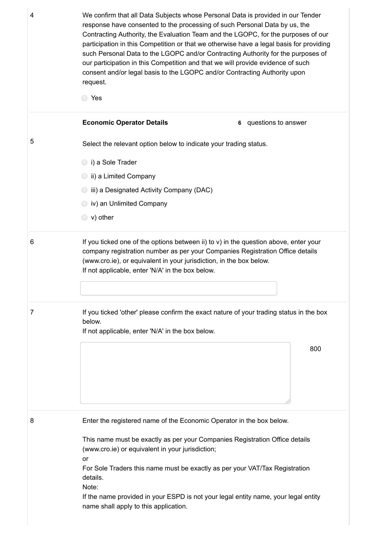4 **2004** We confirm that all Data Subjects whose Personal Data is provided in our Tender **Economic Operator Details 6** questions to answer response have consented to the processing of such Personal Data by us, the Contracting Authority, the Evaluation Team and the LGOPC, for the purposes of our participation in this Competition or that we otherwise have a legal basis for providing such Personal Data to the LGOPC and/or Contracting Authority for the purposes of our participation in this Competition and that we will provide evidence of such consent and/or legal basis to the LGOPC and/or Contracting Authority upon request. Yes 5 Select the relevant option below to indicate your trading status. i) a Sole Trader **ii**) a Limited Company iii) a Designated Activity Company (DAC) iv) an Unlimited Company v) other  $6 \rightarrow$  If you ticked one of the options between ii) to v) in the question above, enter your company registration number as per your Companies Registration Office details (www.cro.ie), or equivalent in your jurisdiction, in the box below. If not applicable, enter 'N/A' in the box below. 7 If you ticked 'other' please confirm the exact nature of your trading status in the box below. If not applicable, enter 'N/A' in the box below. 800 8 Enter the registered name of the Economic Operator in the box below. This name must be exactly as per your Companies Registration Office details (www.cro.ie) or equivalent in your jurisdiction; or For Sole Traders this name must be exactly as per your VAT/Tax Registration

> details. Note:

> > If the name provided in your ESPD is not your legal entity name, your legal entity name shall apply to this application.

https://irl.eu-supply.com/app/rfq/response\_form\_print.asp?RFID=212188&TID=185410&PID=183745&LN=&E=-1&IID=&EM= 2/19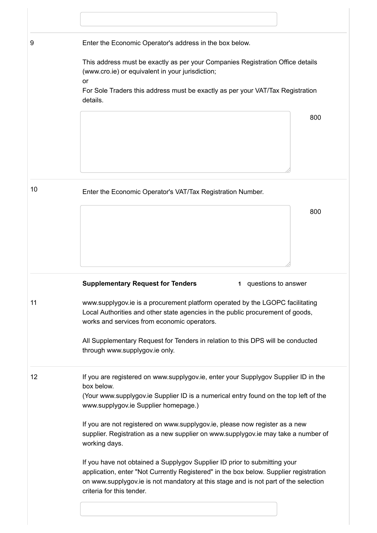| 9  | Enter the Economic Operator's address in the box below.                                                                                                                                                        |
|----|----------------------------------------------------------------------------------------------------------------------------------------------------------------------------------------------------------------|
|    | This address must be exactly as per your Companies Registration Office details<br>(www.cro.ie) or equivalent in your jurisdiction;<br>or                                                                       |
|    | For Sole Traders this address must be exactly as per your VAT/Tax Registration<br>details.                                                                                                                     |
|    | 800                                                                                                                                                                                                            |
| 10 | Enter the Economic Operator's VAT/Tax Registration Number.                                                                                                                                                     |
|    | 800                                                                                                                                                                                                            |
|    | <b>Supplementary Request for Tenders</b><br>questions to answer<br>1.                                                                                                                                          |
| 11 | www.supplygov.ie is a procurement platform operated by the LGOPC facilitating<br>Local Authorities and other state agencies in the public procurement of goods,<br>works and services from economic operators. |
|    | All Supplementary Request for Tenders in relation to this DPS will be conducted<br>through www.supplygov.ie only.                                                                                              |
| 12 | If you are registered on www.supplygov.ie, enter your Supplygov Supplier ID in the<br>box below.<br>(Your www.supplygov.ie Supplier ID is a numerical entry found on the top left of the                       |
|    | www.supplygov.ie Supplier homepage.)                                                                                                                                                                           |
|    |                                                                                                                                                                                                                |
|    | If you are not registered on www.supplygov.ie, please now register as a new<br>supplier. Registration as a new supplier on www.supplygov.ie may take a number of<br>working days.                              |

https://irl.eu-supply.com/app/rfq/response\_form\_print.asp?RFID=212188&TID=185410&PID=183745&LN=&E=-1&IID=&EM= 3/19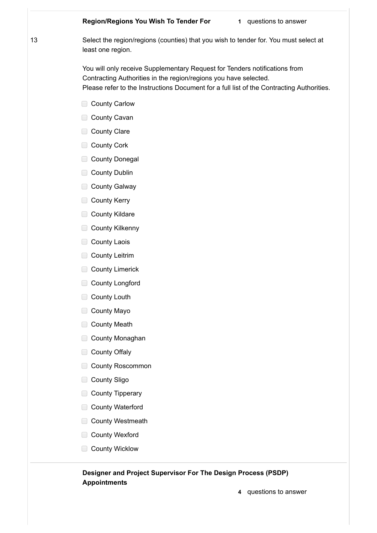#### **Region/Regions You Wish To Tender For 1** questions to answer

20/04/2021 european compared and compared and compared and compared and compared and compared and compared and

13 Select the region/regions (counties) that you wish to tender for. You must select at least one region.

> You will only receive Supplementary Request for Tenders notifications from Contracting Authorities in the region/regions you have selected. Please refer to the Instructions Document for a full list of the Contracting Authorities.

- County Carlow
- County Cavan
- County Clare
- County Cork
- County Donegal
- County Dublin
- **County Galway**
- County Kerry
- **County Kildare**
- County Kilkenny
- County Laois
- County Leitrim
- County Limerick
- County Longford
- County Louth
- County Mayo
- County Meath
- County Monaghan
- County Offaly
- County Roscommon
- County Sligo
- County Tipperary
- County Waterford
- County Westmeath
- County Wexford
- County Wicklow

#### **Designer and Project Supervisor For The Design Process (PSDP) Appointments**

https://irl.eu-supply.com/app/rfq/response\_form\_print.asp?RFID=212188&TID=185410&PID=183745&LN=&E=-1&IID=&EM= 4/19

**4** questions to answer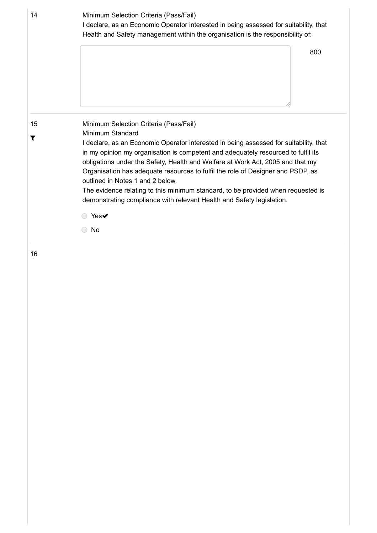| 14      | Minimum Selection Criteria (Pass/Fail)<br>I declare, as an Economic Operator interested in being assessed for suitability, that<br>Health and Safety management within the organisation is the responsibility of:                                            |     |  |
|---------|--------------------------------------------------------------------------------------------------------------------------------------------------------------------------------------------------------------------------------------------------------------|-----|--|
|         |                                                                                                                                                                                                                                                              | 800 |  |
|         |                                                                                                                                                                                                                                                              |     |  |
| 15<br>T | Minimum Selection Criteria (Pass/Fail)<br>Minimum Standard                                                                                                                                                                                                   |     |  |
|         | I declare, as an Economic Operator interested in being assessed for suitability, that<br>in my opinion my organisation is competent and adequately resourced to fulfil its<br>obligations under the Safety, Health and Welfare at Work Act, 2005 and that my |     |  |
|         | Organisation has adequate resources to fulfil the role of Designer and PSDP, as<br>outlined in Notes 1 and 2 below.                                                                                                                                          |     |  |
|         | The evidence relating to this minimum standard, to be provided when requested is<br>demonstrating compliance with relevant Health and Safety legislation.                                                                                                    |     |  |
|         | Yes $\blacktriangledown$                                                                                                                                                                                                                                     |     |  |
|         |                                                                                                                                                                                                                                                              |     |  |

https://irl.eu-supply.com/app/rfq/response\_form\_print.asp?RFID=212188&TID=185410&PID=183745&LN=&E=-1&IID=&EM= 5/19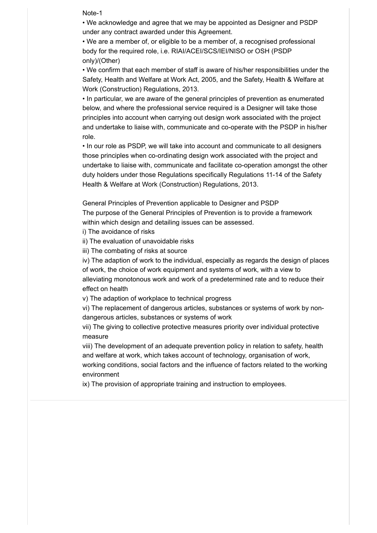2004 europe Note-1 europe and a series of the Note-1 europe and a series of the Note-1 europe and a series of the Note-1 europe and a series of the Note-1 europe and a series of the Note-1 europe and a series of the Note-1

• We acknowledge and agree that we may be appointed as Designer and PSDP under any contract awarded under this Agreement.

• We are a member of, or eligible to be a member of, a recognised professional body for the required role, i.e. RIAI/ACEI/SCS/IEI/NISO or OSH (PSDP only)/(Other)

• We confirm that each member of staff is aware of his/her responsibilities under the Safety, Health and Welfare at Work Act, 2005, and the Safety, Health & Welfare at Work (Construction) Regulations, 2013.

• In particular, we are aware of the general principles of prevention as enumerated below, and where the professional service required is a Designer will take those principles into account when carrying out design work associated with the project and undertake to liaise with, communicate and co-operate with the PSDP in his/her role.

• In our role as PSDP, we will take into account and communicate to all designers those principles when co-ordinating design work associated with the project and undertake to liaise with, communicate and facilitate co-operation amongst the other duty holders under those Regulations specifically Regulations 11-14 of the Safety Health & Welfare at Work (Construction) Regulations, 2013.

General Principles of Prevention applicable to Designer and PSDP

The purpose of the General Principles of Prevention is to provide a framework within which design and detailing issues can be assessed.

i) The avoidance of risks

ii) The evaluation of unavoidable risks

iii) The combating of risks at source

iv) The adaption of work to the individual, especially as regards the design of places of work, the choice of work equipment and systems of work, with a view to alleviating monotonous work and work of a predetermined rate and to reduce their effect on health

v) The adaption of workplace to technical progress

vi) The replacement of dangerous articles, substances or systems of work by nondangerous articles, substances or systems of work

vii) The giving to collective protective measures priority over individual protective measure

viii) The development of an adequate prevention policy in relation to safety, health and welfare at work, which takes account of technology, organisation of work, working conditions, social factors and the influence of factors related to the working environment

ix) The provision of appropriate training and instruction to employees.

https://irl.eu-supply.com/app/rfq/response\_form\_print.asp?RFID=212188&TID=185410&PID=183745&LN=&E=-1&IID=&EM= 6/19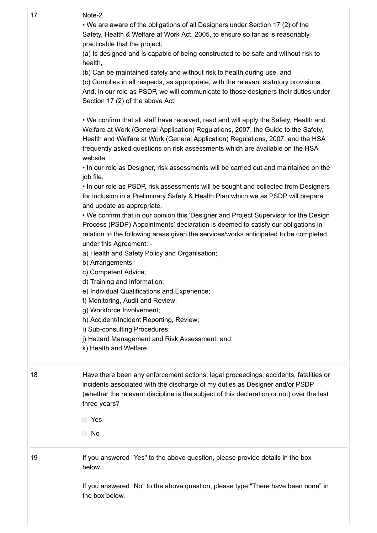$27$  Note 20 17 Note-2

> • We are aware of the obligations of all Designers under Section 17 (2) of the Safety, Health & Welfare at Work Act, 2005, to ensure so far as is reasonably practicable that the project:

(a) Is designed and is capable of being constructed to be safe and without risk to health,

(b) Can be maintained safely and without risk to health during use, and

(c) Complies in all respects, as appropriate, with the relevant statutory provisions. And, in our role as PSDP, we will communicate to those designers their duties under Section 17 (2) of the above Act.

• We confirm that all staff have received, read and will apply the Safety, Health and Welfare at Work (General Application) Regulations, 2007, the Guide to the Safety, Health and Welfare at Work (General Application) Regulations, 2007, and the HSA frequently asked questions on risk assessments which are available on the HSA website.

• In our role as Designer, risk assessments will be carried out and maintained on the job file.

• In our role as PSDP, risk assessments will be sought and collected from Designers for inclusion in a Preliminary Safety & Health Plan which we as PSDP will prepare and update as appropriate.

• We confirm that in our opinion this 'Designer and Project Supervisor for the Design Process (PSDP) Appointments' declaration is deemed to satisfy our obligations in relation to the following areas given the services/works anticipated to be completed under this Agreement: -

a) Health and Safety Policy and Organisation;

b) Arrangements;

c) Competent Advice;

d) Training and Information;

e) Individual Qualifications and Experience;

f) Monitoring, Audit and Review;

g) Workforce Involvement;

h) Accident/Incident Reporting, Review;

i) Sub-consulting Procedures;

j) Hazard Management and Risk Assessment; and

k) Health and Welfare

18 Have there been any enforcement actions, legal proceedings, accidents, fatalities or incidents associated with the discharge of my duties as Designer and/or PSDP (whether the relevant discipline is the subject of this declaration or not) over the last three years?

Yes

No

19 **If you answered "Yes" to the above question, please provide details in the box** below.

https://irl.eu-supply.com/app/rfq/response\_form\_print.asp?RFID=212188&TID=185410&PID=183745&LN=&E=-1&IID=&EM= 7/19

If you answered "No" to the above question, please type "There have been none" in the box below.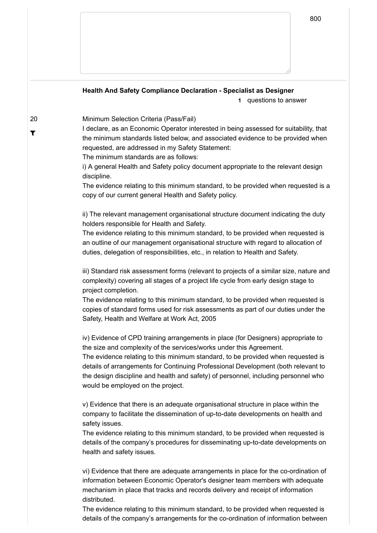### **Health And Safety Compliance Declaration - Specialist as Designer 1** questions to answer 20  $\overline{\mathbf{r}}$ Minimum Selection Criteria (Pass/Fail) I declare, as an Economic Operator interested in being assessed for suitability, that the minimum standards listed below, and associated evidence to be provided when requested, are addressed in my Safety Statement: The minimum standards are as follows: i) A general Health and Safety policy document appropriate to the relevant design discipline. The evidence relating to this minimum standard, to be provided when requested is a copy of our current general Health and Safety policy. ii) The relevant management organisational structure document indicating the duty holders responsible for Health and Safety. The evidence relating to this minimum standard, to be provided when requested is an outline of our management organisational structure with regard to allocation of duties, delegation of responsibilities, etc., in relation to Health and Safety. iii) Standard risk assessment forms (relevant to projects of a similar size, nature and complexity) covering all stages of a project life cycle from early design stage to project completion. The evidence relating to this minimum standard, to be provided when requested is copies of standard forms used for risk assessments as part of our duties under the Safety, Health and Welfare at Work Act, 2005 iv) Evidence of CPD training arrangements in place (for Designers) appropriate to the size and complexity of the services/works under this Agreement. The evidence relating to this minimum standard, to be provided when requested is details of arrangements for Continuing Professional Development (both relevant to the design discipline and health and safety) of personnel, including personnel who would be employed on the project. v) Evidence that there is an adequate organisational structure in place within the company to facilitate the dissemination of up-to-date developments on health and safety issues. The evidence relating to this minimum standard, to be provided when requested is details of the company's procedures for disseminating up-to-date developments on health and safety issues. vi) Evidence that there are adequate arrangements in place for the co-ordination of information between Economic Operator's designer team members with adequate mechanism in place that tracks and records delivery and receipt of information

 $\sqrt{202}$ 

details of the company's arrangements for the co-ordination of information between  $\hskip1cm \Box$ The evidence relating to this minimum standard, to be provided when requested is

distributed.

800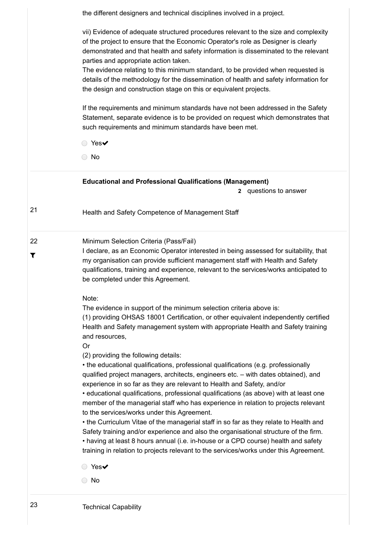|         | the different designers and technical disciplines involved in a project.                                                                                                                                                                                                                                                                                                                                                                                                                                                                                                                                                                                                                                                                                                                                                                                                                                                                                                                                                                                                                   |  |  |  |
|---------|--------------------------------------------------------------------------------------------------------------------------------------------------------------------------------------------------------------------------------------------------------------------------------------------------------------------------------------------------------------------------------------------------------------------------------------------------------------------------------------------------------------------------------------------------------------------------------------------------------------------------------------------------------------------------------------------------------------------------------------------------------------------------------------------------------------------------------------------------------------------------------------------------------------------------------------------------------------------------------------------------------------------------------------------------------------------------------------------|--|--|--|
|         | vii) Evidence of adequate structured procedures relevant to the size and complexity<br>of the project to ensure that the Economic Operator's role as Designer is clearly<br>demonstrated and that health and safety information is disseminated to the relevant<br>parties and appropriate action taken.<br>The evidence relating to this minimum standard, to be provided when requested is<br>details of the methodology for the dissemination of health and safety information for<br>the design and construction stage on this or equivalent projects.                                                                                                                                                                                                                                                                                                                                                                                                                                                                                                                                 |  |  |  |
|         | If the requirements and minimum standards have not been addressed in the Safety<br>Statement, separate evidence is to be provided on request which demonstrates that<br>such requirements and minimum standards have been met.                                                                                                                                                                                                                                                                                                                                                                                                                                                                                                                                                                                                                                                                                                                                                                                                                                                             |  |  |  |
|         | ● Yes✔                                                                                                                                                                                                                                                                                                                                                                                                                                                                                                                                                                                                                                                                                                                                                                                                                                                                                                                                                                                                                                                                                     |  |  |  |
|         | $\bigcirc$ No                                                                                                                                                                                                                                                                                                                                                                                                                                                                                                                                                                                                                                                                                                                                                                                                                                                                                                                                                                                                                                                                              |  |  |  |
|         | <b>Educational and Professional Qualifications (Management)</b><br>2 questions to answer                                                                                                                                                                                                                                                                                                                                                                                                                                                                                                                                                                                                                                                                                                                                                                                                                                                                                                                                                                                                   |  |  |  |
| 21      | Health and Safety Competence of Management Staff                                                                                                                                                                                                                                                                                                                                                                                                                                                                                                                                                                                                                                                                                                                                                                                                                                                                                                                                                                                                                                           |  |  |  |
| 22<br>T | Minimum Selection Criteria (Pass/Fail)<br>I declare, as an Economic Operator interested in being assessed for suitability, that<br>my organisation can provide sufficient management staff with Health and Safety<br>qualifications, training and experience, relevant to the services/works anticipated to<br>be completed under this Agreement.                                                                                                                                                                                                                                                                                                                                                                                                                                                                                                                                                                                                                                                                                                                                          |  |  |  |
|         | Note:<br>The evidence in support of the minimum selection criteria above is:<br>(1) providing OHSAS 18001 Certification, or other equivalent independently certified<br>Health and Safety management system with appropriate Health and Safety training<br>and resources,<br><b>Or</b><br>(2) providing the following details:<br>• the educational qualifications, professional qualifications (e.g. professionally<br>qualified project managers, architects, engineers etc. - with dates obtained), and<br>experience in so far as they are relevant to Health and Safety, and/or<br>• educational qualifications, professional qualifications (as above) with at least one<br>member of the managerial staff who has experience in relation to projects relevant<br>to the services/works under this Agreement.<br>• the Curriculum Vitae of the managerial staff in so far as they relate to Health and<br>Safety training and/or experience and also the organisational structure of the firm.<br>• having at least 8 hours annual (i.e. in-house or a CPD course) health and safety |  |  |  |
|         | training in relation to projects relevant to the services/works under this Agreement.<br>$Yes\checkmark$<br>No                                                                                                                                                                                                                                                                                                                                                                                                                                                                                                                                                                                                                                                                                                                                                                                                                                                                                                                                                                             |  |  |  |
| 23      | <b>Technical Capability</b>                                                                                                                                                                                                                                                                                                                                                                                                                                                                                                                                                                                                                                                                                                                                                                                                                                                                                                                                                                                                                                                                |  |  |  |

https://irl.eu-supply.com/app/rfq/response\_form\_print.asp?RFID=212188&TID=185410&PID=183745&LN=&E=-1&IID=&EM= 9/19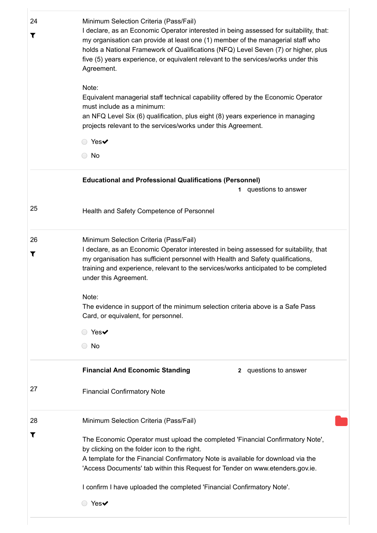| 24                   | Minimum Selection Criteria (Pass/Fail)                                                                                                           |
|----------------------|--------------------------------------------------------------------------------------------------------------------------------------------------|
|                      | I declare, as an Economic Operator interested in being assessed for suitability, that:                                                           |
| $\blacktriangledown$ | my organisation can provide at least one (1) member of the managerial staff who                                                                  |
|                      | holds a National Framework of Qualifications (NFQ) Level Seven (7) or higher, plus                                                               |
|                      | five (5) years experience, or equivalent relevant to the services/works under this                                                               |
|                      | Agreement.                                                                                                                                       |
|                      | Note:                                                                                                                                            |
|                      | Equivalent managerial staff technical capability offered by the Economic Operator                                                                |
|                      | must include as a minimum:                                                                                                                       |
|                      | an NFQ Level Six (6) qualification, plus eight (8) years experience in managing<br>projects relevant to the services/works under this Agreement. |
|                      |                                                                                                                                                  |
|                      | ◯ Yes✔                                                                                                                                           |
|                      | $\bigcirc$ No                                                                                                                                    |
|                      | <b>Educational and Professional Qualifications (Personnel)</b>                                                                                   |
|                      | questions to answer<br>1.                                                                                                                        |
| 25                   | Health and Safety Competence of Personnel                                                                                                        |
| 26                   | Minimum Selection Criteria (Pass/Fail)                                                                                                           |
|                      | I declare, as an Economic Operator interested in being assessed for suitability, that                                                            |
| T                    | my organisation has sufficient personnel with Health and Safety qualifications,                                                                  |
|                      | training and experience, relevant to the services/works anticipated to be completed                                                              |
|                      | under this Agreement.                                                                                                                            |
|                      | Note:                                                                                                                                            |
|                      | The evidence in support of the minimum selection criteria above is a Safe Pass                                                                   |
|                      | Card, or equivalent, for personnel.                                                                                                              |
|                      | ○ Yes✔                                                                                                                                           |
|                      | $\bigcirc$ No                                                                                                                                    |
|                      | <b>Financial And Economic Standing</b><br>questions to answer<br>$\mathbf{2}$                                                                    |
| 27                   | <b>Financial Confirmatory Note</b>                                                                                                               |
| 28                   | Minimum Selection Criteria (Pass/Fail)                                                                                                           |
| T                    |                                                                                                                                                  |
|                      | The Economic Operator must upload the completed 'Financial Confirmatory Note',                                                                   |
|                      | by clicking on the folder icon to the right.<br>A template for the Financial Confirmatory Note is available for download via the                 |
|                      | 'Access Documents' tab within this Request for Tender on www.etenders.gov.ie.                                                                    |
|                      | I confirm I have uploaded the completed 'Financial Confirmatory Note'.                                                                           |
|                      | $Yes\checkmark$                                                                                                                                  |
|                      |                                                                                                                                                  |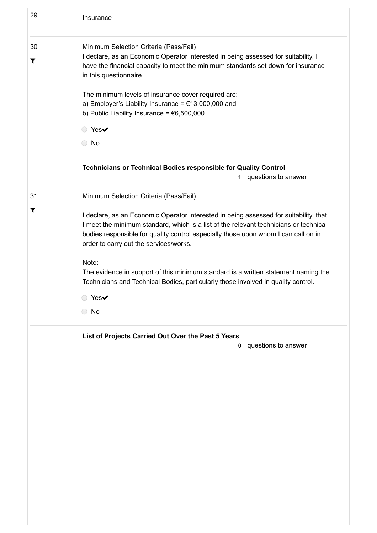| 29                         | Insurance                                                                                                                                                                                                                                                                                                      |
|----------------------------|----------------------------------------------------------------------------------------------------------------------------------------------------------------------------------------------------------------------------------------------------------------------------------------------------------------|
| 30<br>$\blacktriangledown$ | Minimum Selection Criteria (Pass/Fail)<br>I declare, as an Economic Operator interested in being assessed for suitability, I<br>have the financial capacity to meet the minimum standards set down for insurance<br>in this questionnaire.                                                                     |
|                            | The minimum levels of insurance cover required are:-<br>a) Employer's Liability Insurance = $€13,000,000$ and<br>b) Public Liability Insurance = $€6,500,000$ .                                                                                                                                                |
|                            | ◯ Yes✔<br>$\bigcirc$ No                                                                                                                                                                                                                                                                                        |
|                            | Technicians or Technical Bodies responsible for Quality Control<br>questions to answer<br>1.                                                                                                                                                                                                                   |
| 31                         | Minimum Selection Criteria (Pass/Fail)                                                                                                                                                                                                                                                                         |
| T                          | I declare, as an Economic Operator interested in being assessed for suitability, that<br>I meet the minimum standard, which is a list of the relevant technicians or technical<br>bodies responsible for quality control especially those upon whom I can call on in<br>order to carry out the services/works. |
|                            | Note:<br>The evidence in support of this minimum standard is a written statement naming the<br>Technicians and Technical Bodies, particularly those involved in quality control.                                                                                                                               |
|                            | ○ Yes✔                                                                                                                                                                                                                                                                                                         |
|                            | $\bigcirc$ No                                                                                                                                                                                                                                                                                                  |
|                            | List of Projects Carried Out Over the Past 5 Years                                                                                                                                                                                                                                                             |
|                            | questions to answer<br>0                                                                                                                                                                                                                                                                                       |
|                            |                                                                                                                                                                                                                                                                                                                |
|                            |                                                                                                                                                                                                                                                                                                                |
|                            |                                                                                                                                                                                                                                                                                                                |
|                            |                                                                                                                                                                                                                                                                                                                |
|                            |                                                                                                                                                                                                                                                                                                                |
|                            |                                                                                                                                                                                                                                                                                                                |
|                            |                                                                                                                                                                                                                                                                                                                |

https://irl.eu-supply.com/app/rfq/response\_form\_print.asp?RFID=212188&TID=185410&PID=183745&LN=&E=-1&IID=&EM= 11/19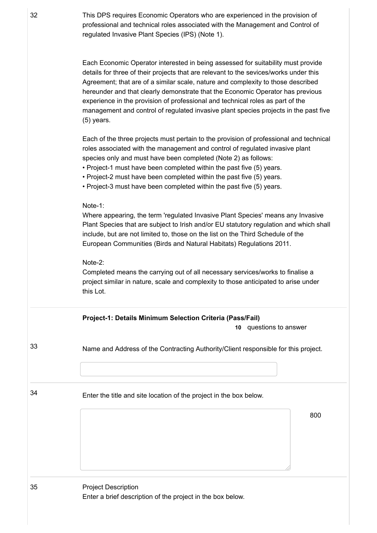32 This DPS requires Economic Operators who are experienced in the provision of professional and technical roles associated with the Management and Control of regulated Invasive Plant Species (IPS) (Note 1).

> Each Economic Operator interested in being assessed for suitability must provide details for three of their projects that are relevant to the sevices/works under this Agreement; that are of a similar scale, nature and complexity to those described hereunder and that clearly demonstrate that the Economic Operator has previous experience in the provision of professional and technical roles as part of the management and control of regulated invasive plant species projects in the past five (5) years.

> Each of the three projects must pertain to the provision of professional and technical roles associated with the management and control of regulated invasive plant species only and must have been completed (Note 2) as follows:

• Project-1 must have been completed within the past five (5) years.

• Project-2 must have been completed within the past five (5) years.

• Project-3 must have been completed within the past five (5) years.

#### Note-1:

Where appearing, the term 'regulated Invasive Plant Species' means any Invasive Plant Species that are subject to Irish and/or EU statutory regulation and which shall include, but are not limited to, those on the list on the Third Schedule of the European Communities (Birds and Natural Habitats) Regulations 2011.

#### Note-2:

Completed means the carrying out of all necessary services/works to finalise a project similar in nature, scale and complexity to those anticipated to arise under this Lot.

| Name and Address of the Contracting Authority/Client responsible for this project.<br>Enter the title and site location of the project in the box below. |                            |  |                                                            |
|----------------------------------------------------------------------------------------------------------------------------------------------------------|----------------------------|--|------------------------------------------------------------|
|                                                                                                                                                          |                            |  |                                                            |
|                                                                                                                                                          |                            |  |                                                            |
|                                                                                                                                                          |                            |  | 800                                                        |
|                                                                                                                                                          |                            |  |                                                            |
|                                                                                                                                                          |                            |  |                                                            |
|                                                                                                                                                          |                            |  |                                                            |
|                                                                                                                                                          | <b>Project Description</b> |  | Enter a brief description of the project in the box below. |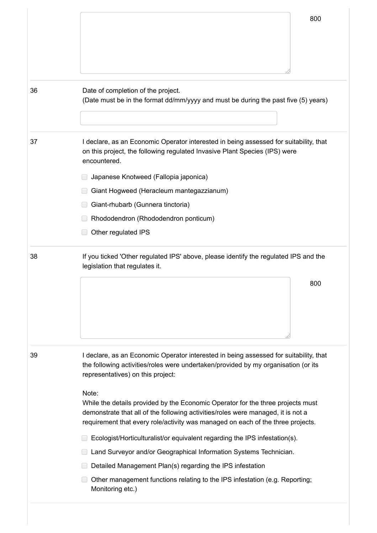|    | 800                                                                                                                                                                                                                                                             |  |  |  |
|----|-----------------------------------------------------------------------------------------------------------------------------------------------------------------------------------------------------------------------------------------------------------------|--|--|--|
| 36 | Date of completion of the project.<br>(Date must be in the format dd/mm/yyyy and must be during the past five (5) years)                                                                                                                                        |  |  |  |
| 37 | I declare, as an Economic Operator interested in being assessed for suitability, that<br>on this project, the following regulated Invasive Plant Species (IPS) were<br>encountered.                                                                             |  |  |  |
|    | Japanese Knotweed (Fallopia japonica)                                                                                                                                                                                                                           |  |  |  |
|    | Giant Hogweed (Heracleum mantegazzianum)                                                                                                                                                                                                                        |  |  |  |
|    | Giant-rhubarb (Gunnera tinctoria)                                                                                                                                                                                                                               |  |  |  |
|    | Rhododendron (Rhododendron ponticum)                                                                                                                                                                                                                            |  |  |  |
|    | Other regulated IPS                                                                                                                                                                                                                                             |  |  |  |
| 38 | If you ticked 'Other regulated IPS' above, please identify the regulated IPS and the<br>legislation that regulates it.                                                                                                                                          |  |  |  |
|    | 800                                                                                                                                                                                                                                                             |  |  |  |
| 39 | I declare, as an Economic Operator interested in being assessed for suitability, that<br>the following activities/roles were undertaken/provided by my organisation (or its<br>representatives) on this project:                                                |  |  |  |
|    | Note:<br>While the details provided by the Economic Operator for the three projects must<br>demonstrate that all of the following activities/roles were managed, it is not a<br>requirement that every role/activity was managed on each of the three projects. |  |  |  |
|    | Ecologist/Horticulturalist/or equivalent regarding the IPS infestation(s).                                                                                                                                                                                      |  |  |  |
|    | Land Surveyor and/or Geographical Information Systems Technician.                                                                                                                                                                                               |  |  |  |
|    | Detailed Management Plan(s) regarding the IPS infestation                                                                                                                                                                                                       |  |  |  |
|    | Other management functions relating to the IPS infestation (e.g. Reporting;                                                                                                                                                                                     |  |  |  |

https://irl.eu-supply.com/app/rfq/response\_form\_print.asp?RFID=212188&TID=185410&PID=183745&LN=&E=-1&IID=&EM= 13/19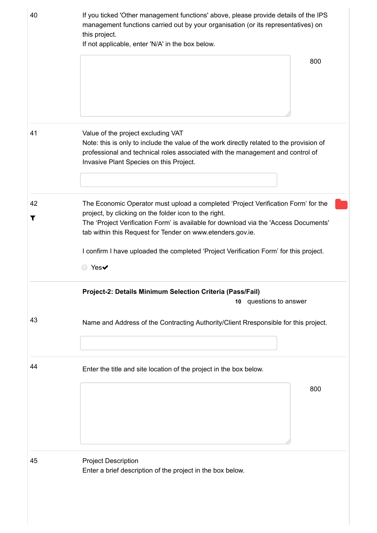| 40      | If you ticked 'Other management functions' above, please provide details of the IPS<br>management functions carried out by your organisation (or its representatives) on<br>this project.<br>If not applicable, enter 'N/A' in the box below.                                                                                                                                                       |  |  |
|---------|-----------------------------------------------------------------------------------------------------------------------------------------------------------------------------------------------------------------------------------------------------------------------------------------------------------------------------------------------------------------------------------------------------|--|--|
|         | 800                                                                                                                                                                                                                                                                                                                                                                                                 |  |  |
| 41      | Value of the project excluding VAT<br>Note: this is only to include the value of the work directly related to the provision of<br>professional and technical roles associated with the management and control of<br>Invasive Plant Species on this Project.                                                                                                                                         |  |  |
| 42<br>T | The Economic Operator must upload a completed 'Project Verification Form' for the<br>project, by clicking on the folder icon to the right.<br>The 'Project Verification Form' is available for download via the 'Access Documents'<br>tab within this Request for Tender on www.etenders.gov.ie.<br>I confirm I have uploaded the completed 'Project Verification Form' for this project.<br>○ Yes✔ |  |  |
|         | Project-2: Details Minimum Selection Criteria (Pass/Fail)<br>10 questions to answer                                                                                                                                                                                                                                                                                                                 |  |  |
| 43      | Name and Address of the Contracting Authority/Client Rresponsible for this project.                                                                                                                                                                                                                                                                                                                 |  |  |
| 44      | Enter the title and site location of the project in the box below.<br>800                                                                                                                                                                                                                                                                                                                           |  |  |
| 45      | <b>Project Description</b><br>Enter a brief description of the project in the box below.                                                                                                                                                                                                                                                                                                            |  |  |

https://irl.eu-supply.com/app/rfq/response\_form\_print.asp?RFID=212188&TID=185410&PID=183745&LN=&E=-1&IID=&EM= 14/19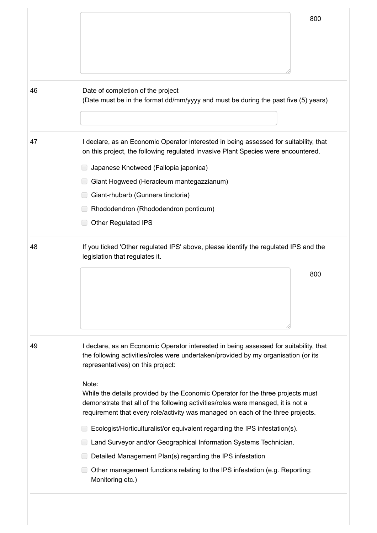|    | 800                                                                                                                                                                                                                                                                                                                                                                                              |  |  |
|----|--------------------------------------------------------------------------------------------------------------------------------------------------------------------------------------------------------------------------------------------------------------------------------------------------------------------------------------------------------------------------------------------------|--|--|
| 46 | Date of completion of the project<br>(Date must be in the format dd/mm/yyyy and must be during the past five (5) years)                                                                                                                                                                                                                                                                          |  |  |
| 47 | I declare, as an Economic Operator interested in being assessed for suitability, that<br>on this project, the following regulated Invasive Plant Species were encountered.<br>Japanese Knotweed (Fallopia japonica)<br>Giant Hogweed (Heracleum mantegazzianum)<br>Giant-rhubarb (Gunnera tinctoria)<br>Rhododendron (Rhododendron ponticum)                                                     |  |  |
| 48 | <b>Other Regulated IPS</b><br>If you ticked 'Other regulated IPS' above, please identify the regulated IPS and the<br>legislation that regulates it.<br>800                                                                                                                                                                                                                                      |  |  |
| 49 | I declare, as an Economic Operator interested in being assessed for suitability, that<br>the following activities/roles were undertaken/provided by my organisation (or its<br>representatives) on this project:<br>Note:<br>While the details provided by the Economic Operator for the three projects must<br>demonstrate that all of the following activities/roles were managed, it is not a |  |  |
|    | requirement that every role/activity was managed on each of the three projects.<br>Ecologist/Horticulturalist/or equivalent regarding the IPS infestation(s).<br>Land Surveyor and/or Geographical Information Systems Technician.                                                                                                                                                               |  |  |

https://irl.eu-supply.com/app/rfq/response\_form\_print.asp?RFID=212188&TID=185410&PID=183745&LN=&E=-1&IID=&EM= 15/19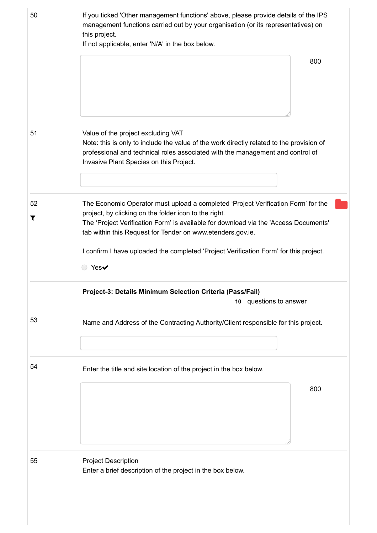| 50      | If you ticked 'Other management functions' above, please provide details of the IPS<br>management functions carried out by your organisation (or its representatives) on<br>this project.<br>If not applicable, enter 'N/A' in the box below.                                                                                                                                                       |  |  |  |
|---------|-----------------------------------------------------------------------------------------------------------------------------------------------------------------------------------------------------------------------------------------------------------------------------------------------------------------------------------------------------------------------------------------------------|--|--|--|
|         | 800                                                                                                                                                                                                                                                                                                                                                                                                 |  |  |  |
| 51      | Value of the project excluding VAT<br>Note: this is only to include the value of the work directly related to the provision of<br>professional and technical roles associated with the management and control of<br>Invasive Plant Species on this Project.                                                                                                                                         |  |  |  |
| 52<br>Т | The Economic Operator must upload a completed 'Project Verification Form' for the<br>project, by clicking on the folder icon to the right.<br>The 'Project Verification Form' is available for download via the 'Access Documents'<br>tab within this Request for Tender on www.etenders.gov.ie.<br>I confirm I have uploaded the completed 'Project Verification Form' for this project.<br>◯ Yes✔ |  |  |  |
|         | Project-3: Details Minimum Selection Criteria (Pass/Fail)<br>10 questions to answer                                                                                                                                                                                                                                                                                                                 |  |  |  |
| 53      | Name and Address of the Contracting Authority/Client responsible for this project.                                                                                                                                                                                                                                                                                                                  |  |  |  |
| 54      | Enter the title and site location of the project in the box below.<br>800                                                                                                                                                                                                                                                                                                                           |  |  |  |
| 55      | <b>Project Description</b><br>Enter a brief description of the project in the box below.                                                                                                                                                                                                                                                                                                            |  |  |  |

https://irl.eu-supply.com/app/rfq/response\_form\_print.asp?RFID=212188&TID=185410&PID=183745&LN=&E=-1&IID=&EM= 16/19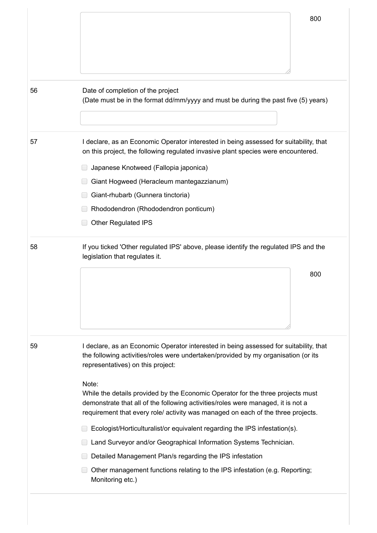|    | 800                                                                                                                                                                                                                                                     |  |  |
|----|---------------------------------------------------------------------------------------------------------------------------------------------------------------------------------------------------------------------------------------------------------|--|--|
|    |                                                                                                                                                                                                                                                         |  |  |
|    |                                                                                                                                                                                                                                                         |  |  |
|    |                                                                                                                                                                                                                                                         |  |  |
| 56 | Date of completion of the project<br>(Date must be in the format dd/mm/yyyy and must be during the past five (5) years)                                                                                                                                 |  |  |
| 57 | I declare, as an Economic Operator interested in being assessed for suitability, that<br>on this project, the following regulated invasive plant species were encountered.                                                                              |  |  |
|    | Japanese Knotweed (Fallopia japonica)<br>Giant Hogweed (Heracleum mantegazzianum)                                                                                                                                                                       |  |  |
|    | Giant-rhubarb (Gunnera tinctoria)                                                                                                                                                                                                                       |  |  |
|    | Rhododendron (Rhododendron ponticum)                                                                                                                                                                                                                    |  |  |
|    | <b>Other Regulated IPS</b>                                                                                                                                                                                                                              |  |  |
| 58 | If you ticked 'Other regulated IPS' above, please identify the regulated IPS and the<br>legislation that regulates it.                                                                                                                                  |  |  |
|    | 800                                                                                                                                                                                                                                                     |  |  |
|    |                                                                                                                                                                                                                                                         |  |  |
|    |                                                                                                                                                                                                                                                         |  |  |
|    |                                                                                                                                                                                                                                                         |  |  |
| 59 | I declare, as an Economic Operator interested in being assessed for suitability, that<br>the following activities/roles were undertaken/provided by my organisation (or its<br>representatives) on this project:                                        |  |  |
|    | Note:                                                                                                                                                                                                                                                   |  |  |
|    | While the details provided by the Economic Operator for the three projects must<br>demonstrate that all of the following activities/roles were managed, it is not a<br>requirement that every role/ activity was managed on each of the three projects. |  |  |
|    | Ecologist/Horticulturalist/or equivalent regarding the IPS infestation(s).                                                                                                                                                                              |  |  |
|    | Land Surveyor and/or Geographical Information Systems Technician.                                                                                                                                                                                       |  |  |
|    | Detailed Management Plan/s regarding the IPS infestation                                                                                                                                                                                                |  |  |
|    | Other management functions relating to the IPS infestation (e.g. Reporting;<br>Monitoring etc.)                                                                                                                                                         |  |  |

https://irl.eu-supply.com/app/rfq/response\_form\_print.asp?RFID=212188&TID=185410&PID=183745&LN=&E=-1&IID=&EM= 17/19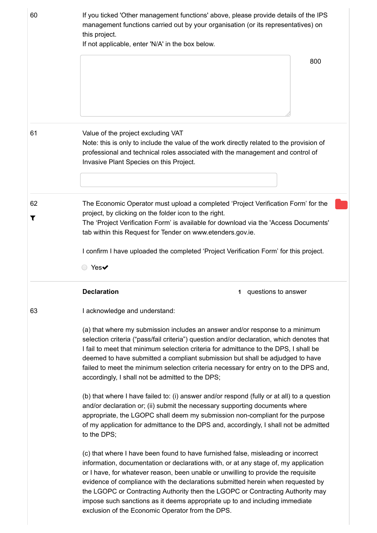| 60      | If you ticked 'Other management functions' above, please provide details of the IPS<br>management functions carried out by your organisation (or its representatives) on<br>this project.<br>If not applicable, enter 'N/A' in the box below.                                                                                                                                                                                                                                                                                                                                                                                 |
|---------|-------------------------------------------------------------------------------------------------------------------------------------------------------------------------------------------------------------------------------------------------------------------------------------------------------------------------------------------------------------------------------------------------------------------------------------------------------------------------------------------------------------------------------------------------------------------------------------------------------------------------------|
|         | 800                                                                                                                                                                                                                                                                                                                                                                                                                                                                                                                                                                                                                           |
| 61      | Value of the project excluding VAT<br>Note: this is only to include the value of the work directly related to the provision of<br>professional and technical roles associated with the management and control of<br>Invasive Plant Species on this Project.                                                                                                                                                                                                                                                                                                                                                                   |
| 62<br>T | The Economic Operator must upload a completed 'Project Verification Form' for the<br>project, by clicking on the folder icon to the right.<br>The 'Project Verification Form' is available for download via the 'Access Documents'<br>tab within this Request for Tender on www.etenders.gov.ie.<br>I confirm I have uploaded the completed 'Project Verification Form' for this project.<br>○ Yes✔                                                                                                                                                                                                                           |
|         | <b>Declaration</b><br>1 questions to answer                                                                                                                                                                                                                                                                                                                                                                                                                                                                                                                                                                                   |
| 63      | I acknowledge and understand:<br>(a) that where my submission includes an answer and/or response to a minimum<br>selection criteria ("pass/fail criteria") question and/or declaration, which denotes that<br>I fail to meet that minimum selection criteria for admittance to the DPS, I shall be<br>deemed to have submitted a compliant submission but shall be adjudged to have<br>failed to meet the minimum selection criteria necessary for entry on to the DPS and,<br>accordingly, I shall not be admitted to the DPS;<br>(b) that where I have failed to: (i) answer and/or respond (fully or at all) to a question |
|         | and/or declaration or; (ii) submit the necessary supporting documents where<br>appropriate, the LGOPC shall deem my submission non-compliant for the purpose<br>of my application for admittance to the DPS and, accordingly, I shall not be admitted<br>to the DPS;                                                                                                                                                                                                                                                                                                                                                          |
|         | (c) that where I have been found to have furnished false, misleading or incorrect<br>information, documentation or declarations with, or at any stage of, my application<br>or I have, for whatever reason, been unable or unwilling to provide the requisite<br>evidence of compliance with the declarations submitted herein when requested by<br>the LGOPC or Contracting Authority then the LGOPC or Contracting Authority may<br>impose such sanctions as it deems appropriate up to and including immediate<br>exclusion of the Economic Operator from the DPS.                                                         |

https://irl.eu-supply.com/app/rfq/response\_form\_print.asp?RFID=212188&TID=185410&PID=183745&LN=&E=-1&IID=&EM= 18/19